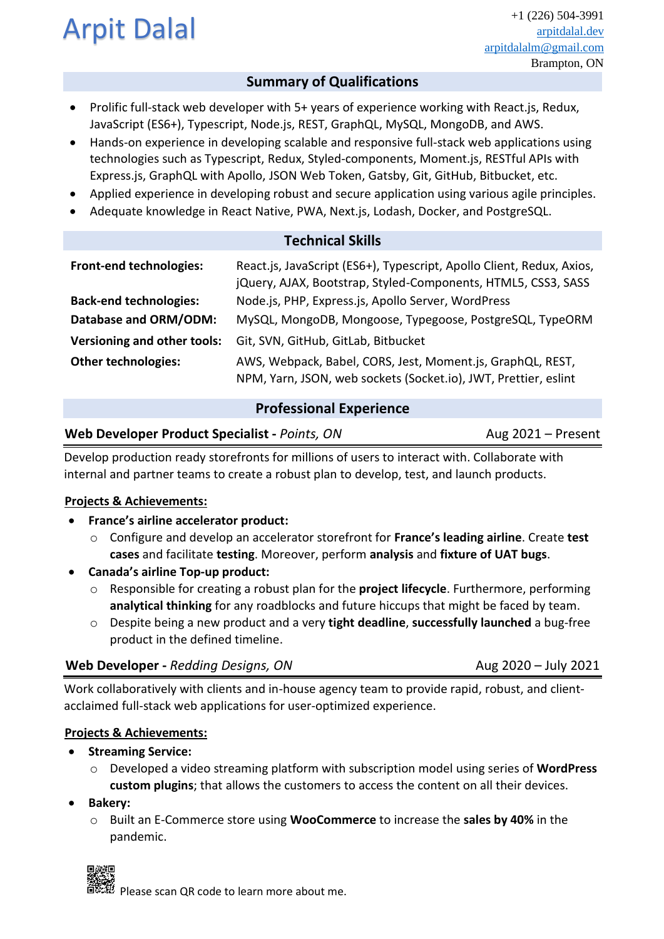# Arpit Dalal  $\overline{a}$

# **Summary of Qualifications**

- Prolific full-stack web developer with 5+ years of experience working with React.js, Redux, JavaScript (ES6+), Typescript, Node.js, REST, GraphQL, MySQL, MongoDB, and AWS.
- Hands-on experience in developing scalable and responsive full-stack web applications using technologies such as Typescript, Redux, Styled-components, Moment.js, RESTful APIs with Express.js, GraphQL with Apollo, JSON Web Token, Gatsby, Git, GitHub, Bitbucket, etc.
- Applied experience in developing robust and secure application using various agile principles.
- Adequate knowledge in React Native, PWA, Next.js, Lodash, Docker, and PostgreSQL.

| <b>Technical Skills</b>        |                                                                                                                                        |
|--------------------------------|----------------------------------------------------------------------------------------------------------------------------------------|
| <b>Front-end technologies:</b> | React.js, JavaScript (ES6+), Typescript, Apollo Client, Redux, Axios,<br>jQuery, AJAX, Bootstrap, Styled-Components, HTML5, CSS3, SASS |
| <b>Back-end technologies:</b>  | Node.js, PHP, Express.js, Apollo Server, WordPress                                                                                     |
| Database and ORM/ODM:          | MySQL, MongoDB, Mongoose, Typegoose, PostgreSQL, TypeORM                                                                               |
| Versioning and other tools:    | Git, SVN, GitHub, GitLab, Bitbucket                                                                                                    |
| <b>Other technologies:</b>     | AWS, Webpack, Babel, CORS, Jest, Moment.js, GraphQL, REST,<br>NPM, Yarn, JSON, web sockets (Socket.io), JWT, Prettier, eslint          |

# **Professional Experience**

# **Web Developer Product Specialist** - *Points, ON* **Aug 2021** – Present

Develop production ready storefronts for millions of users to interact with. Collaborate with internal and partner teams to create a robust plan to develop, test, and launch products.

# **Projects & Achievements:**

- **France's airline accelerator product:**
	- o Configure and develop an accelerator storefront for **France's leading airline**. Create **test cases** and facilitate **testing**. Moreover, perform **analysis** and **fixture of UAT bugs**.
- **Canada's airline Top-up product:**
	- o Responsible for creating a robust plan for the **project lifecycle**. Furthermore, performing **analytical thinking** for any roadblocks and future hiccups that might be faced by team.
	- o Despite being a new product and a very **tight deadline**, **successfully launched** a bug-free product in the defined timeline.

# **Web Developer** - *Redding Designs, ON* **Aug 2020** – July 2021

Work collaboratively with clients and in-house agency team to provide rapid, robust, and clientacclaimed full-stack web applications for user-optimized experience.

# **Projects & Achievements:**

- **Streaming Service:**
	- o Developed a video streaming platform with subscription model using series of **WordPress custom plugins**; that allows the customers to access the content on all their devices.
- **Bakery:**
	- o Built an E-Commerce store using **WooCommerce** to increase the **sales by 40%** in the pandemic.



Please scan QR code to learn more about me.